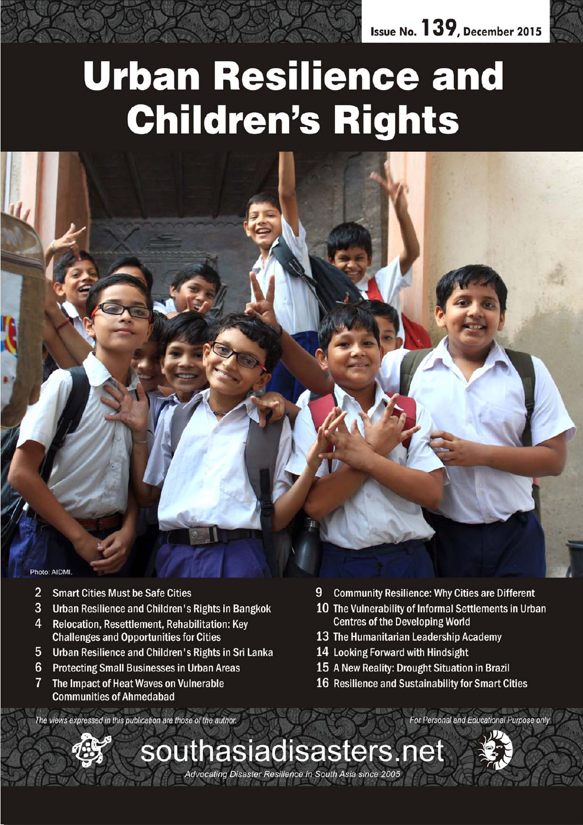

# **Urban Resilience and Children's Rights**



 $\overline{2}$ **Smart Cities Must be Safe Cities** 

**Communities of Ahmedabad** 

- $\overline{3}$ Urban Resilience and Children's Rights in Bangkok
- $\overline{\mathbf{A}}$ Relocation, Resettlement, Rehabilitation: Key **Challenges and Opportunities for Cities**
- 5 Urban Resilience and Children's Rights in Sri Lanka
- $6\phantom{1}6$ **Protecting Small Businesses in Urban Areas**  $\overline{7}$ The Impact of Heat Waves on Vulnerable
- 9 **Community Resilience: Why Cities are Different**
- 10 The Vulnerability of Informal Settlements in Urban **Centres of the Developing World**
- 13 The Humanitarian Leadership Academy
- 14 Looking Forward with Hindsight
- 15 A New Reality: Drought Situation in Brazil
- 16 Resilience and Sustainability for Smart Cities

The views expressed in this publication are those of the author.



For Personal and Educational Purpose only

Advocating Disaster Resilience in South Asia since 2005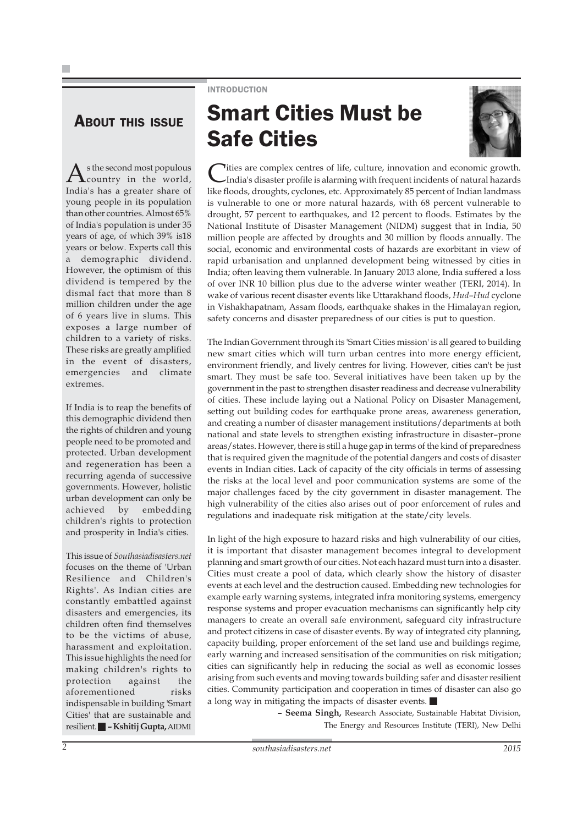### INTRODUCTION

### ABOUT THIS ISSUE

 $A$ s the second most populous<br>  $\ldots$ India's has a greater share of young people in its population than other countries. Almost 65% of India's population is under 35 years of age, of which 39% is18 years or below. Experts call this a demographic dividend. However, the optimism of this dividend is tempered by the dismal fact that more than 8 million children under the age of 6 years live in slums. This exposes a large number of children to a variety of risks. These risks are greatly amplified in the event of disasters, emergencies and climate extremes.

If India is to reap the benefits of this demographic dividend then the rights of children and young people need to be promoted and protected. Urban development and regeneration has been a recurring agenda of successive governments. However, holistic urban development can only be achieved by embedding children's rights to protection and prosperity in India's cities.

This issue of *Southasiadisasters.net* focuses on the theme of 'Urban Resilience and Children's Rights'. As Indian cities are constantly embattled against disasters and emergencies, its children often find themselves to be the victims of abuse, harassment and exploitation. This issue highlights the need for making children's rights to protection against the aforementioned risks indispensable in building 'Smart Cities' that are sustainable and resilient. **– Kshitij Gupta,** AIDMI

# Smart Cities Must be Safe Cities



Cities are complex centres of life, culture, innovation and economic growth. India's disaster profile is alarming with frequent incidents of natural hazards like floods, droughts, cyclones, etc. Approximately 85 percent of Indian landmass is vulnerable to one or more natural hazards, with 68 percent vulnerable to drought, 57 percent to earthquakes, and 12 percent to floods. Estimates by the National Institute of Disaster Management (NIDM) suggest that in India, 50 million people are affected by droughts and 30 million by floods annually. The social, economic and environmental costs of hazards are exorbitant in view of rapid urbanisation and unplanned development being witnessed by cities in India; often leaving them vulnerable. In January 2013 alone, India suffered a loss of over INR 10 billion plus due to the adverse winter weather (TERI, 2014). In wake of various recent disaster events like Uttarakhand floods, *Hud–Hud* cyclone in Vishakhapatnam, Assam floods, earthquake shakes in the Himalayan region, safety concerns and disaster preparedness of our cities is put to question.

The Indian Government through its 'Smart Cities mission' is all geared to building new smart cities which will turn urban centres into more energy efficient, environment friendly, and lively centres for living. However, cities can't be just smart. They must be safe too. Several initiatives have been taken up by the government in the past to strengthen disaster readiness and decrease vulnerability of cities. These include laying out a National Policy on Disaster Management, setting out building codes for earthquake prone areas, awareness generation, and creating a number of disaster management institutions/departments at both national and state levels to strengthen existing infrastructure in disaster–prone areas/states. However, there is still a huge gap in terms of the kind of preparedness that is required given the magnitude of the potential dangers and costs of disaster events in Indian cities. Lack of capacity of the city officials in terms of assessing the risks at the local level and poor communication systems are some of the major challenges faced by the city government in disaster management. The high vulnerability of the cities also arises out of poor enforcement of rules and regulations and inadequate risk mitigation at the state/city levels.

In light of the high exposure to hazard risks and high vulnerability of our cities, it is important that disaster management becomes integral to development planning and smart growth of our cities. Not each hazard must turn into a disaster. Cities must create a pool of data, which clearly show the history of disaster events at each level and the destruction caused. Embedding new technologies for example early warning systems, integrated infra monitoring systems, emergency response systems and proper evacuation mechanisms can significantly help city managers to create an overall safe environment, safeguard city infrastructure and protect citizens in case of disaster events. By way of integrated city planning, capacity building, proper enforcement of the set land use and buildings regime, early warning and increased sensitisation of the communities on risk mitigation; cities can significantly help in reducing the social as well as economic losses arising from such events and moving towards building safer and disaster resilient cities. Community participation and cooperation in times of disaster can also go a long way in mitigating the impacts of disaster events.

> **– Seema Singh,** Research Associate, Sustainable Habitat Division, The Energy and Resources Institute (TERI), New Delhi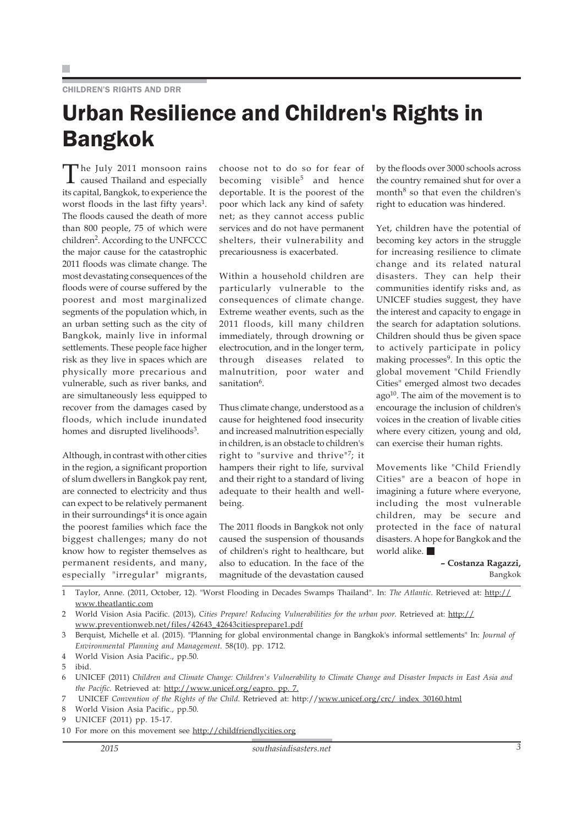### Urban Resilience and Children's Rights in Bangkok

The July 2011 monsoon rains caused Thailand and especially its capital, Bangkok, to experience the worst floods in the last fifty years<sup>1</sup>. The floods caused the death of more than 800 people, 75 of which were children<sup>2</sup>. According to the UNFCCC the major cause for the catastrophic 2011 floods was climate change. The most devastating consequences of the floods were of course suffered by the poorest and most marginalized segments of the population which, in an urban setting such as the city of Bangkok, mainly live in informal settlements. These people face higher risk as they live in spaces which are physically more precarious and vulnerable, such as river banks, and are simultaneously less equipped to recover from the damages cased by floods, which include inundated homes and disrupted livelihoods<sup>3</sup>.

Although, in contrast with other cities in the region, a significant proportion of slum dwellers in Bangkok pay rent, are connected to electricity and thus can expect to be relatively permanent in their surroundings<sup>4</sup> it is once again the poorest families which face the biggest challenges; many do not know how to register themselves as permanent residents, and many, especially "irregular" migrants, choose not to do so for fear of becoming visible<sup>5</sup> and hence deportable. It is the poorest of the poor which lack any kind of safety net; as they cannot access public services and do not have permanent shelters, their vulnerability and precariousness is exacerbated.

Within a household children are particularly vulnerable to the consequences of climate change. Extreme weather events, such as the 2011 floods, kill many children immediately, through drowning or electrocution, and in the longer term, through diseases related to malnutrition, poor water and sanitation<sup>6</sup>.

Thus climate change, understood as a cause for heightened food insecurity and increased malnutrition especially in children, is an obstacle to children's right to "survive and thrive"7; it hampers their right to life, survival and their right to a standard of living adequate to their health and wellbeing.

The 2011 floods in Bangkok not only caused the suspension of thousands of children's right to healthcare, but also to education. In the face of the magnitude of the devastation caused

by the floods over 3000 schools across the country remained shut for over a month<sup>8</sup> so that even the children's right to education was hindered.

Yet, children have the potential of becoming key actors in the struggle for increasing resilience to climate change and its related natural disasters. They can help their communities identify risks and, as UNICEF studies suggest, they have the interest and capacity to engage in the search for adaptation solutions. Children should thus be given space to actively participate in policy making processes<sup>9</sup>. In this optic the global movement "Child Friendly Cities" emerged almost two decades  $ago^{10}$ . The aim of the movement is to encourage the inclusion of children's voices in the creation of livable cities where every citizen, young and old, can exercise their human rights.

Movements like "Child Friendly Cities" are a beacon of hope in imagining a future where everyone, including the most vulnerable children, may be secure and protected in the face of natural disasters. A hope for Bangkok and the world alike.

> **– Costanza Ragazzi,** Bangkok

1 Taylor, Anne. (2011, October, 12). "Worst Flooding in Decades Swamps Thailand". In: *The Atlantic.* Retrieved at: http:// www.theatlantic.com

2 World Vision Asia Pacific. (2013), *Cities Prepare! Reducing Vulnerabilities for the urban poor.* Retrieved at: http:// www.preventionweb.net/files/42643\_42643citiesprepare1.pdf

3 Berquist, Michelle et al. (2015). "Planning for global environmental change in Bangkok's informal settlements" In: *Journal of Environmental Planning and Management.* 58(10). pp. 1712.

4 World Vision Asia Pacific., pp.50.

5 ibid.

6 UNICEF (2011) *Children and Climate Change: Children's Vulnerability to Climate Change and Disaster Impacts in East Asia and the Pacific.* Retrieved at: http://www.unicef.org/eapro. pp. 7.

7 UNICEF *Convention of the Rights of the Child.* Retrieved at: http://www.unicef.org/crc/ index\_30160.html

8 World Vision Asia Pacific., pp.50.

9 UNICEF (2011) pp. 15-17.

<sup>10</sup> For more on this movement see http://childfriendlycities.org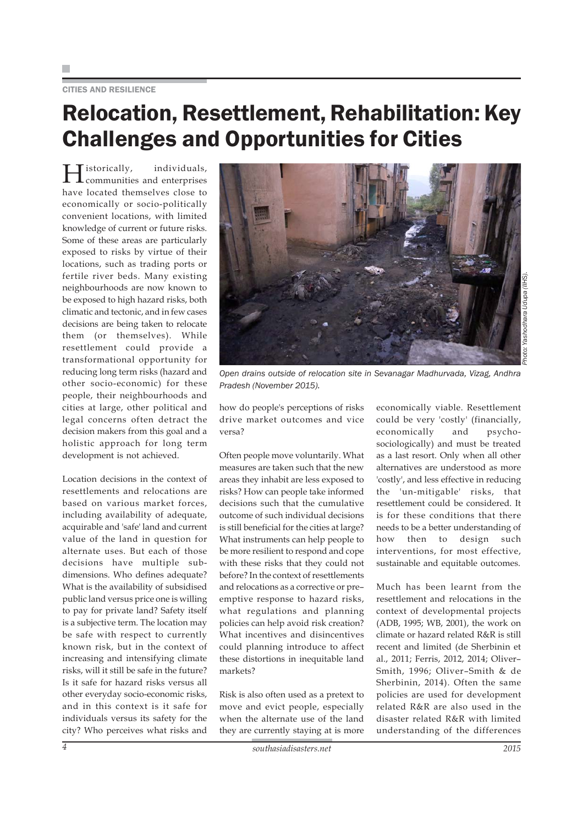#### CITIES AND RESILIENCE

### Relocation, Resettlement, Rehabilitation: Key Challenges and Opportunities for Cities

Historically, individuals, communities and enterprises have located themselves close to economically or socio-politically convenient locations, with limited knowledge of current or future risks. Some of these areas are particularly exposed to risks by virtue of their locations, such as trading ports or fertile river beds. Many existing neighbourhoods are now known to be exposed to high hazard risks, both climatic and tectonic, and in few cases decisions are being taken to relocate them (or themselves). While resettlement could provide a transformational opportunity for reducing long term risks (hazard and other socio-economic) for these people, their neighbourhoods and cities at large, other political and legal concerns often detract the decision makers from this goal and a holistic approach for long term development is not achieved.

Location decisions in the context of resettlements and relocations are based on various market forces, including availability of adequate, acquirable and 'safe' land and current value of the land in question for alternate uses. But each of those decisions have multiple subdimensions. Who defines adequate? What is the availability of subsidised public land versus price one is willing to pay for private land? Safety itself is a subjective term. The location may be safe with respect to currently known risk, but in the context of increasing and intensifying climate risks, will it still be safe in the future? Is it safe for hazard risks versus all other everyday socio-economic risks, and in this context is it safe for individuals versus its safety for the city? Who perceives what risks and



*Open drains outside of relocation site in Sevanagar Madhurvada, Vizag, Andhra*

how do people's perceptions of risks drive market outcomes and vice versa?

*Pradesh (November 2015).*

Often people move voluntarily. What measures are taken such that the new areas they inhabit are less exposed to risks? How can people take informed decisions such that the cumulative outcome of such individual decisions is still beneficial for the cities at large? What instruments can help people to be more resilient to respond and cope with these risks that they could not before? In the context of resettlements and relocations as a corrective or pre– emptive response to hazard risks, what regulations and planning policies can help avoid risk creation? What incentives and disincentives could planning introduce to affect these distortions in inequitable land markets?

Risk is also often used as a pretext to move and evict people, especially when the alternate use of the land they are currently staying at is more

economically viable. Resettlement could be very 'costly' (financially, economically and psychosociologically) and must be treated as a last resort. Only when all other alternatives are understood as more 'costly', and less effective in reducing the 'un-mitigable' risks, that resettlement could be considered. It is for these conditions that there needs to be a better understanding of how then to design such interventions, for most effective, sustainable and equitable outcomes.

Much has been learnt from the resettlement and relocations in the context of developmental projects (ADB, 1995; WB, 2001), the work on climate or hazard related R&R is still recent and limited (de Sherbinin et al., 2011; Ferris, 2012, 2014; Oliver– Smith, 1996; Oliver–Smith & de Sherbinin, 2014). Often the same policies are used for development related R&R are also used in the disaster related R&R with limited understanding of the differences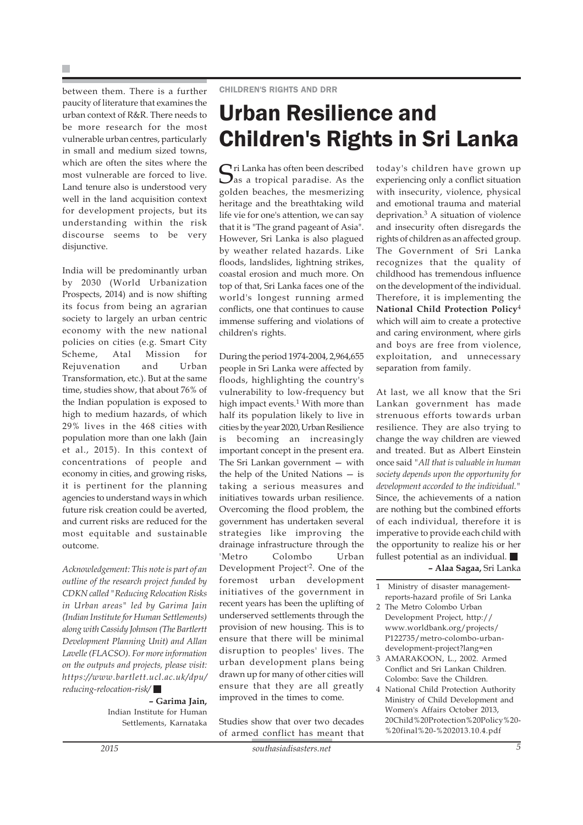between them. There is a further paucity of literature that examines the urban context of R&R. There needs to be more research for the most vulnerable urban centres, particularly in small and medium sized towns, which are often the sites where the most vulnerable are forced to live. Land tenure also is understood very well in the land acquisition context for development projects, but its understanding within the risk discourse seems to be very disjunctive.

India will be predominantly urban by 2030 (World Urbanization Prospects, 2014) and is now shifting its focus from being an agrarian society to largely an urban centric economy with the new national policies on cities (e.g. Smart City Scheme, Atal Mission for Rejuvenation and Urban Transformation, etc.). But at the same time, studies show, that about 76% of the Indian population is exposed to high to medium hazards, of which 29% lives in the 468 cities with population more than one lakh (Jain et al., 2015). In this context of concentrations of people and economy in cities, and growing risks, it is pertinent for the planning agencies to understand ways in which future risk creation could be averted, and current risks are reduced for the most equitable and sustainable outcome.

*Acknowledgement: This note is part of an outline of the research project funded by CDKN called "Reducing Relocation Risks in Urban areas" led by Garima Jain (Indian Institute for Human Settlements) along with Cassidy Johnson (The Bartlertt Development Planning Unit) and Allan Lavelle (FLACSO). For more information on the outputs and projects, please visit: https://www.bartlett.ucl.ac.uk/dpu/ reducing-relocation-risk/*

**– Garima Jain,** Indian Institute for Human Settlements, Karnataka

### Urban Resilience and Children's Rights in Sri Lanka

Sri Lanka has often been described as a tropical paradise. As the golden beaches, the mesmerizing heritage and the breathtaking wild life vie for one's attention, we can say that it is "The grand pageant of Asia". However, Sri Lanka is also plagued by weather related hazards. Like floods, landslides, lightning strikes, coastal erosion and much more. On top of that, Sri Lanka faces one of the world's longest running armed conflicts, one that continues to cause immense suffering and violations of children's rights.

During the period 1974-2004, 2,964,655 people in Sri Lanka were affected by floods, highlighting the country's vulnerability to low-frequency but high impact events. $1$  With more than half its population likely to live in cities by the year 2020, Urban Resilience is becoming an increasingly important concept in the present era. The Sri Lankan government — with the help of the United Nations — is taking a serious measures and initiatives towards urban resilience. Overcoming the flood problem, the government has undertaken several strategies like improving the drainage infrastructure through the 'Metro Colombo Urban Development Project'2. One of the foremost urban development initiatives of the government in recent years has been the uplifting of underserved settlements through the provision of new housing. This is to ensure that there will be minimal disruption to peoples' lives. The urban development plans being drawn up for many of other cities will ensure that they are all greatly improved in the times to come.

Studies show that over two decades of armed conflict has meant that

today's children have grown up experiencing only a conflict situation with insecurity, violence, physical and emotional trauma and material deprivation.3 A situation of violence and insecurity often disregards the rights of children as an affected group. The Government of Sri Lanka recognizes that the quality of childhood has tremendous influence on the development of the individual. Therefore, it is implementing the **National Child Protection Policy**<sup>4</sup> which will aim to create a protective and caring environment, where girls and boys are free from violence, exploitation, and unnecessary separation from family.

At last, we all know that the Sri Lankan government has made strenuous efforts towards urban resilience. They are also trying to change the way children are viewed and treated. But as Albert Einstein once said *"All that is valuable in human society depends upon the opportunity for development accorded to the individual."* Since, the achievements of a nation are nothing but the combined efforts of each individual, therefore it is imperative to provide each child with the opportunity to realize his or her fullest potential as an individual. **– Alaa Sagaa,** Sri Lanka

1 Ministry of disaster managementreports-hazard profile of Sri Lanka

- 2 The Metro Colombo Urban Development Project, http:// www.worldbank.org/projects/ P122735/metro-colombo-urbandevelopment-project?lang=en
- 3 AMARAKOON, L., 2002. Armed Conflict and Sri Lankan Children. Colombo: Save the Children.
- 4 National Child Protection Authority Ministry of Child Development and Women's Affairs October 2013, 20Child%20Protection%20Policy%20- %20final%20-%202013.10.4.pdf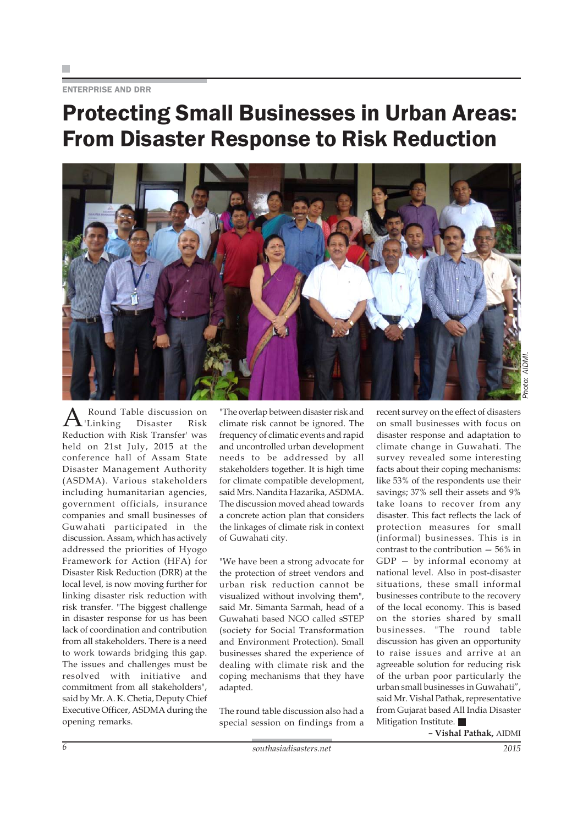#### ENTERPRISE AND DRR

### Protecting Small Businesses in Urban Areas: From Disaster Response to Risk Reduction



Round Table discussion on<br>Linking Disaster Risk 'Linking Reduction with Risk Transfer' was held on 21st July, 2015 at the conference hall of Assam State Disaster Management Authority (ASDMA). Various stakeholders including humanitarian agencies, government officials, insurance companies and small businesses of Guwahati participated in the discussion. Assam, which has actively addressed the priorities of Hyogo Framework for Action (HFA) for Disaster Risk Reduction (DRR) at the local level, is now moving further for linking disaster risk reduction with risk transfer. "The biggest challenge in disaster response for us has been lack of coordination and contribution from all stakeholders. There is a need to work towards bridging this gap. The issues and challenges must be resolved with initiative and commitment from all stakeholders", said by Mr. A. K. Chetia, Deputy Chief Executive Officer, ASDMA during the opening remarks.

"The overlap between disaster risk and climate risk cannot be ignored. The frequency of climatic events and rapid and uncontrolled urban development needs to be addressed by all stakeholders together. It is high time for climate compatible development, said Mrs. Nandita Hazarika, ASDMA. The discussion moved ahead towards a concrete action plan that considers the linkages of climate risk in context of Guwahati city.

"We have been a strong advocate for the protection of street vendors and urban risk reduction cannot be visualized without involving them", said Mr. Simanta Sarmah, head of a Guwahati based NGO called sSTEP (society for Social Transformation and Environment Protection). Small businesses shared the experience of dealing with climate risk and the coping mechanisms that they have adapted.

The round table discussion also had a special session on findings from a

recent survey on the effect of disasters on small businesses with focus on disaster response and adaptation to climate change in Guwahati. The survey revealed some interesting facts about their coping mechanisms: like 53% of the respondents use their savings; 37% sell their assets and 9% take loans to recover from any disaster. This fact reflects the lack of protection measures for small (informal) businesses. This is in contrast to the contribution — 56% in GDP — by informal economy at national level. Also in post-disaster situations, these small informal businesses contribute to the recovery of the local economy. This is based on the stories shared by small businesses. "The round table discussion has given an opportunity to raise issues and arrive at an agreeable solution for reducing risk of the urban poor particularly the urban small businesses in Guwahati", said Mr. Vishal Pathak, representative from Gujarat based All India Disaster Mitigation Institute.

**– Vishal Pathak,** AIDMI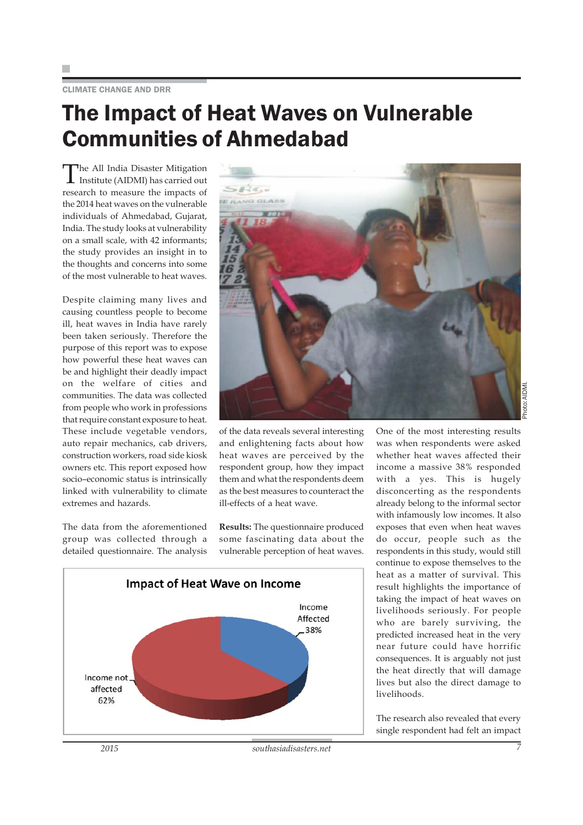CLIMATE CHANGE AND DRR

### The Impact of Heat Waves on Vulnerable Communities of Ahmedabad

The All India Disaster Mitigation Institute (AIDMI) has carried out research to measure the impacts of the 2014 heat waves on the vulnerable individuals of Ahmedabad, Gujarat, India. The study looks at vulnerability on a small scale, with 42 informants; the study provides an insight in to the thoughts and concerns into some of the most vulnerable to heat waves.

Despite claiming many lives and causing countless people to become ill, heat waves in India have rarely been taken seriously. Therefore the purpose of this report was to expose how powerful these heat waves can be and highlight their deadly impact on the welfare of cities and communities. The data was collected from people who work in professions that require constant exposure to heat. These include vegetable vendors, auto repair mechanics, cab drivers, construction workers, road side kiosk owners etc. This report exposed how socio–economic status is intrinsically linked with vulnerability to climate extremes and hazards.

The data from the aforementioned group was collected through a detailed questionnaire. The analysis



of the data reveals several interesting and enlightening facts about how heat waves are perceived by the respondent group, how they impact them and what the respondents deem as the best measures to counteract the ill-effects of a heat wave.

**Results:** The questionnaire produced some fascinating data about the vulnerable perception of heat waves.



One of the most interesting results was when respondents were asked whether heat waves affected their income a massive 38% responded with a yes. This is hugely disconcerting as the respondents already belong to the informal sector with infamously low incomes. It also exposes that even when heat waves do occur, people such as the respondents in this study, would still continue to expose themselves to the heat as a matter of survival. This result highlights the importance of taking the impact of heat waves on livelihoods seriously. For people who are barely surviving, the predicted increased heat in the very near future could have horrific consequences. It is arguably not just the heat directly that will damage lives but also the direct damage to livelihoods.

The research also revealed that every single respondent had felt an impact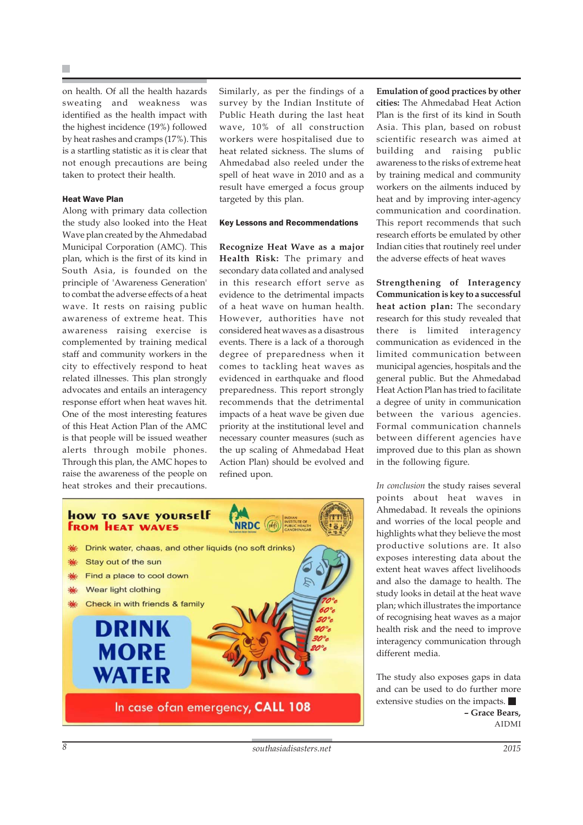on health. Of all the health hazards sweating and weakness was identified as the health impact with the highest incidence (19%) followed by heat rashes and cramps (17%). This is a startling statistic as it is clear that not enough precautions are being taken to protect their health.

#### Heat Wave Plan

Along with primary data collection the study also looked into the Heat Wave plan created by the Ahmedabad Municipal Corporation (AMC). This plan, which is the first of its kind in South Asia, is founded on the principle of 'Awareness Generation' to combat the adverse effects of a heat wave. It rests on raising public awareness of extreme heat. This awareness raising exercise is complemented by training medical staff and community workers in the city to effectively respond to heat related illnesses. This plan strongly advocates and entails an interagency response effort when heat waves hit. One of the most interesting features of this Heat Action Plan of the AMC is that people will be issued weather alerts through mobile phones. Through this plan, the AMC hopes to raise the awareness of the people on heat strokes and their precautions.

Similarly, as per the findings of a survey by the Indian Institute of Public Heath during the last heat wave, 10% of all construction workers were hospitalised due to heat related sickness. The slums of Ahmedabad also reeled under the spell of heat wave in 2010 and as a result have emerged a focus group targeted by this plan.

#### Key Lessons and Recommendations

**Recognize Heat Wave as a major Health Risk:** The primary and secondary data collated and analysed in this research effort serve as evidence to the detrimental impacts of a heat wave on human health. However, authorities have not considered heat waves as a disastrous events. There is a lack of a thorough degree of preparedness when it comes to tackling heat waves as evidenced in earthquake and flood preparedness. This report strongly recommends that the detrimental impacts of a heat wave be given due priority at the institutional level and necessary counter measures (such as the up scaling of Ahmedabad Heat Action Plan) should be evolved and refined upon.

**Emulation of good practices by other cities:** The Ahmedabad Heat Action Plan is the first of its kind in South Asia. This plan, based on robust scientific research was aimed at building and raising public awareness to the risks of extreme heat by training medical and community workers on the ailments induced by heat and by improving inter-agency communication and coordination. This report recommends that such research efforts be emulated by other Indian cities that routinely reel under the adverse effects of heat waves

**Strengthening of Interagency Communication is key to a successful heat action plan:** The secondary research for this study revealed that there is limited interagency communication as evidenced in the limited communication between municipal agencies, hospitals and the general public. But the Ahmedabad Heat Action Plan has tried to facilitate a degree of unity in communication between the various agencies. Formal communication channels between different agencies have improved due to this plan as shown in the following figure.

*In conclusion* the study raises several points about heat waves in Ahmedabad. It reveals the opinions and worries of the local people and highlights what they believe the most productive solutions are. It also exposes interesting data about the extent heat waves affect livelihoods and also the damage to health. The study looks in detail at the heat wave plan; which illustrates the importance of recognising heat waves as a major health risk and the need to improve interagency communication through different media.

The study also exposes gaps in data and can be used to do further more extensive studies on the impacts. **– Grace Bears,** AIDMI

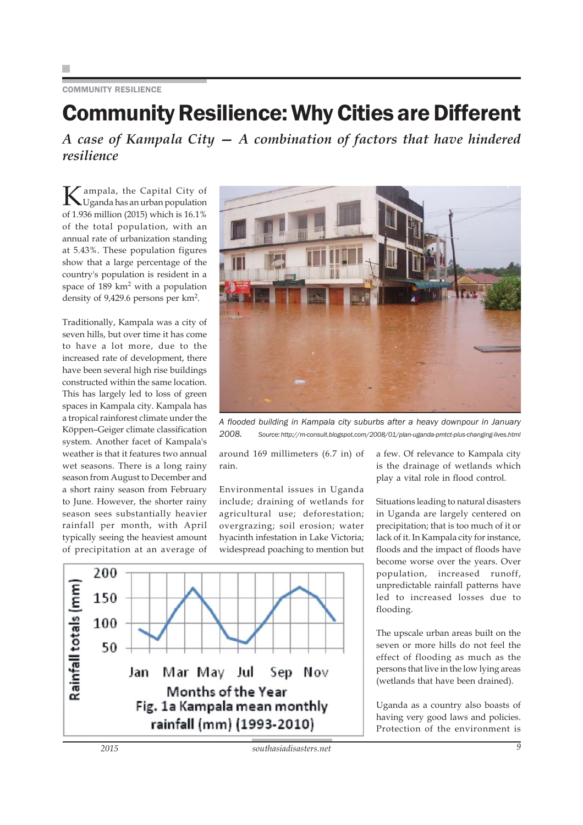#### COMMUNITY RESILIENCE

### Community Resilience: Why Cities are Different

*A case of Kampala City — A combination of factors that have hindered resilience*

Kampala, the Capital City of Uganda has an urban population of 1.936 million (2015) which is 16.1% of the total population, with an annual rate of urbanization standing at 5.43%. These population figures show that a large percentage of the country's population is resident in a space of 189 km<sup>2</sup> with a population density of 9,429.6 persons per km2.

Traditionally, Kampala was a city of seven hills, but over time it has come to have a lot more, due to the increased rate of development, there have been several high rise buildings constructed within the same location. This has largely led to loss of green spaces in Kampala city. Kampala has a tropical rainforest climate under the Köppen–Geiger climate classification system. Another facet of Kampala's weather is that it features two annual wet seasons. There is a long rainy season from August to December and a short rainy season from February to June. However, the shorter rainy season sees substantially heavier rainfall per month, with April typically seeing the heaviest amount of precipitation at an average of



*A flooded building in Kampala city suburbs after a heavy downpour in January 2008. Source: http://m-consult.blogspot.com/2008/01/plan-uganda-pmtct-plus-changing-lives.html*

around 169 millimeters (6.7 in) of rain.

Environmental issues in Uganda include; draining of wetlands for agricultural use; deforestation; overgrazing; soil erosion; water hyacinth infestation in Lake Victoria; widespread poaching to mention but



a few. Of relevance to Kampala city is the drainage of wetlands which play a vital role in flood control.

Situations leading to natural disasters in Uganda are largely centered on precipitation; that is too much of it or lack of it. In Kampala city for instance, floods and the impact of floods have become worse over the years. Over population, increased runoff, unpredictable rainfall patterns have led to increased losses due to flooding.

The upscale urban areas built on the seven or more hills do not feel the effect of flooding as much as the persons that live in the low lying areas (wetlands that have been drained).

Uganda as a country also boasts of having very good laws and policies. Protection of the environment is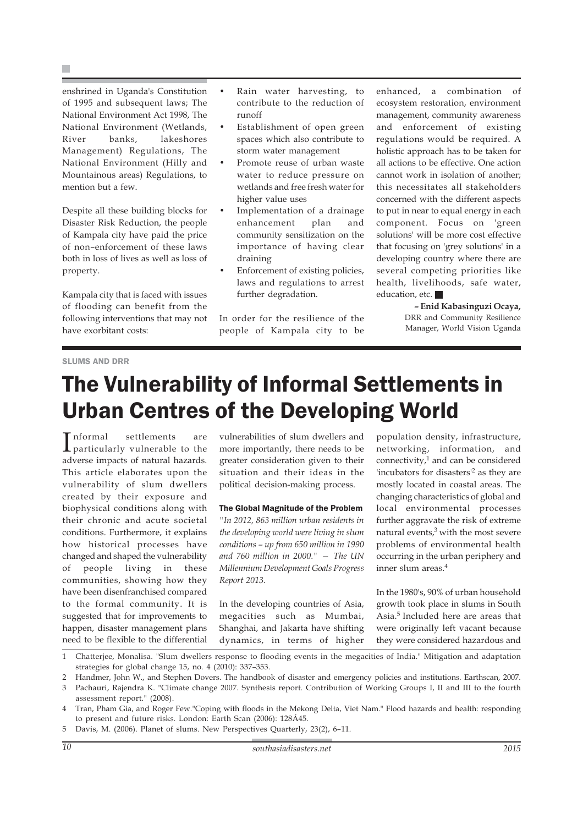enshrined in Uganda's Constitution of 1995 and subsequent laws; The National Environment Act 1998, The National Environment (Wetlands, River banks, lakeshores Management) Regulations, The National Environment (Hilly and Mountainous areas) Regulations, to mention but a few.

Despite all these building blocks for Disaster Risk Reduction, the people of Kampala city have paid the price of non–enforcement of these laws both in loss of lives as well as loss of property.

Kampala city that is faced with issues of flooding can benefit from the following interventions that may not have exorbitant costs:

- Rain water harvesting, to contribute to the reduction of runoff
- Establishment of open green spaces which also contribute to storm water management
- Promote reuse of urban waste water to reduce pressure on wetlands and free fresh water for higher value uses
- Implementation of a drainage enhancement plan and community sensitization on the importance of having clear draining
- Enforcement of existing policies, laws and regulations to arrest further degradation.

In order for the resilience of the people of Kampala city to be enhanced, a combination of ecosystem restoration, environment management, community awareness and enforcement of existing regulations would be required. A holistic approach has to be taken for all actions to be effective. One action cannot work in isolation of another; this necessitates all stakeholders concerned with the different aspects to put in near to equal energy in each component. Focus on 'green solutions' will be more cost effective that focusing on 'grey solutions' in a developing country where there are several competing priorities like health, livelihoods, safe water, education, etc.

> **– Enid Kabasinguzi Ocaya,** DRR and Community Resilience Manager, World Vision Uganda

#### SLUMS AND DRR

### The Vulnerability of Informal Settlements in Urban Centres of the Developing World

Informal settlements are<br>particularly vulnerable to the particularly vulnerable to the adverse impacts of natural hazards. This article elaborates upon the vulnerability of slum dwellers created by their exposure and biophysical conditions along with their chronic and acute societal conditions. Furthermore, it explains how historical processes have changed and shaped the vulnerability of people living in these communities, showing how they have been disenfranchised compared to the formal community. It is suggested that for improvements to happen, disaster management plans need to be flexible to the differential

vulnerabilities of slum dwellers and more importantly, there needs to be greater consideration given to their situation and their ideas in the political decision-making process.

#### The Global Magnitude of the Problem

*"In 2012, 863 million urban residents in the developing world were living in slum conditions – up from 650 million in 1990 and 760 million in 2000." — The UN Millennium Development Goals Progress Report 2013.*

In the developing countries of Asia, megacities such as Mumbai, Shanghai, and Jakarta have shifting dynamics, in terms of higher

population density, infrastructure, networking, information, and connectivity, $1$  and can be considered 'incubators for disasters'2 as they are mostly located in coastal areas. The changing characteristics of global and local environmental processes further aggravate the risk of extreme natural events, $3$  with the most severe problems of environmental health occurring in the urban periphery and inner slum areas.4

In the 1980's, 90% of urban household growth took place in slums in South Asia.5 Included here are areas that were originally left vacant because they were considered hazardous and

3 Pachauri, Rajendra K. "Climate change 2007. Synthesis report. Contribution of Working Groups I, II and III to the fourth assessment report." (2008).

4 Tran, Pham Gia, and Roger Few."Coping with floods in the Mekong Delta, Viet Nam." Flood hazards and health: responding to present and future risks. London: Earth Scan (2006): 128Á45.

5 Davis, M. (2006). Planet of slums. New Perspectives Quarterly, 23(2), 6–11.

<sup>1</sup> Chatterjee, Monalisa. "Slum dwellers response to flooding events in the megacities of India." Mitigation and adaptation strategies for global change 15, no. 4 (2010): 337–353.

<sup>2</sup> Handmer, John W., and Stephen Dovers. The handbook of disaster and emergency policies and institutions. Earthscan, 2007.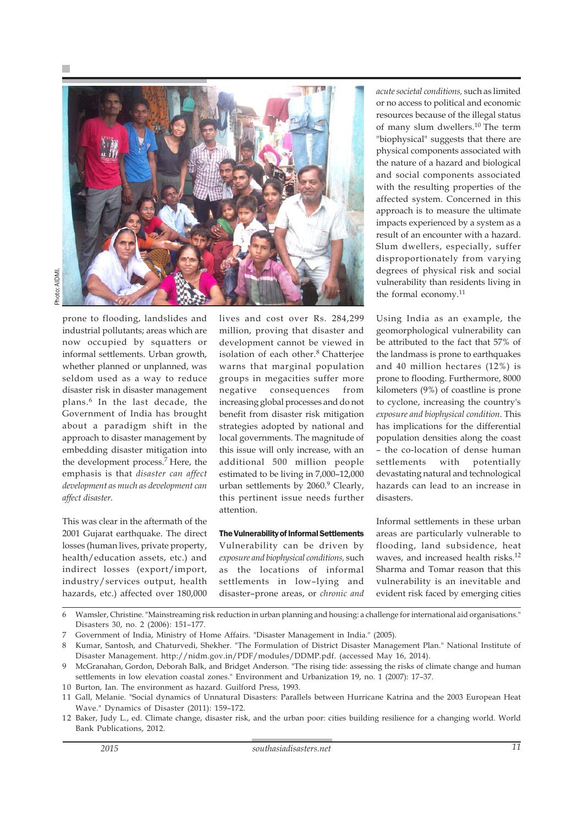

prone to flooding, landslides and industrial pollutants; areas which are now occupied by squatters or informal settlements. Urban growth, whether planned or unplanned, was seldom used as a way to reduce disaster risk in disaster management plans.6 In the last decade, the Government of India has brought about a paradigm shift in the approach to disaster management by embedding disaster mitigation into the development process.<sup>7</sup> Here, the emphasis is that *disaster can affect development as much as development can affect disaster.*

This was clear in the aftermath of the 2001 Gujarat earthquake. The direct losses (human lives, private property, health/education assets, etc.) and indirect losses (export/import, industry/services output, health hazards, etc.) affected over 180,000 lives and cost over Rs. 284,299 million, proving that disaster and development cannot be viewed in isolation of each other.<sup>8</sup> Chatterjee warns that marginal population groups in megacities suffer more negative consequences from increasing global processes and do not benefit from disaster risk mitigation strategies adopted by national and local governments. The magnitude of this issue will only increase, with an additional 500 million people estimated to be living in 7,000–12,000 urban settlements by 2060.<sup>9</sup> Clearly, this pertinent issue needs further attention.

The Vulnerability of Informal Settlements Vulnerability can be driven by *exposure and biophysical conditions,* such as the locations of informal settlements in low–lying and disaster–prone areas, or *chronic and* *acute societal conditions,* such as limited or no access to political and economic resources because of the illegal status of many slum dwellers.10 The term "biophysical" suggests that there are physical components associated with the nature of a hazard and biological and social components associated with the resulting properties of the affected system. Concerned in this approach is to measure the ultimate impacts experienced by a system as a result of an encounter with a hazard. Slum dwellers, especially, suffer disproportionately from varying degrees of physical risk and social vulnerability than residents living in the formal economy.<sup>11</sup>

Using India as an example, the geomorphological vulnerability can be attributed to the fact that 57% of the landmass is prone to earthquakes and 40 million hectares (12%) is prone to flooding. Furthermore, 8000 kilometers (9%) of coastline is prone to cyclone, increasing the country's *exposure and biophysical condition*. This has implications for the differential population densities along the coast – the co-location of dense human settlements with potentially devastating natural and technological hazards can lead to an increase in disasters.

Informal settlements in these urban areas are particularly vulnerable to flooding, land subsidence, heat waves, and increased health risks.<sup>12</sup> Sharma and Tomar reason that this vulnerability is an inevitable and evident risk faced by emerging cities

6 Wamsler, Christine. "Mainstreaming risk reduction in urban planning and housing: a challenge for international aid organisations." Disasters 30, no. 2 (2006): 151–177.

<sup>7</sup> Government of India, Ministry of Home Affairs. "Disaster Management in India." (2005).

<sup>8</sup> Kumar, Santosh, and Chaturvedi, Shekher. "The Formulation of District Disaster Management Plan." National Institute of Disaster Management. http://nidm.gov.in/PDF/modules/DDMP.pdf. (accessed May 16, 2014).

<sup>9</sup> McGranahan, Gordon, Deborah Balk, and Bridget Anderson. "The rising tide: assessing the risks of climate change and human settlements in low elevation coastal zones." Environment and Urbanization 19, no. 1 (2007): 17–37.

<sup>10</sup> Burton, Ian. The environment as hazard. Guilford Press, 1993.

<sup>11</sup> Gall, Melanie. "Social dynamics of Unnatural Disasters: Parallels between Hurricane Katrina and the 2003 European Heat Wave." Dynamics of Disaster (2011): 159–172.

<sup>12</sup> Baker, Judy L., ed. Climate change, disaster risk, and the urban poor: cities building resilience for a changing world. World Bank Publications, 2012.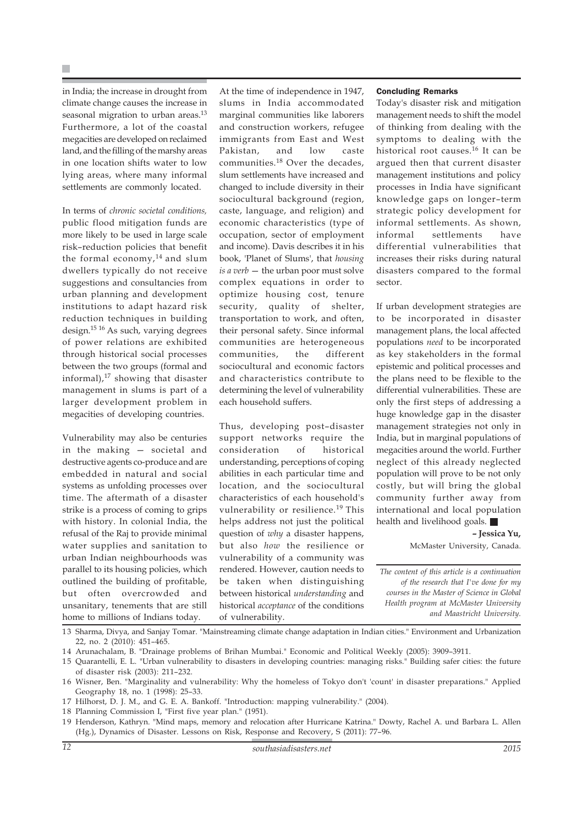in India; the increase in drought from climate change causes the increase in seasonal migration to urban areas.<sup>13</sup> Furthermore, a lot of the coastal megacities are developed on reclaimed land, and the filling of the marshy areas in one location shifts water to low lying areas, where many informal settlements are commonly located.

In terms of *chronic societal conditions,* public flood mitigation funds are more likely to be used in large scale risk–reduction policies that benefit the formal economy, $14$  and slum dwellers typically do not receive suggestions and consultancies from urban planning and development institutions to adapt hazard risk reduction techniques in building design.15 16 As such, varying degrees of power relations are exhibited through historical social processes between the two groups (formal and informal), $^{17}$  showing that disaster management in slums is part of a larger development problem in megacities of developing countries.

Vulnerability may also be centuries in the making — societal and destructive agents co-produce and are embedded in natural and social systems as unfolding processes over time. The aftermath of a disaster strike is a process of coming to grips with history. In colonial India, the refusal of the Raj to provide minimal water supplies and sanitation to urban Indian neighbourhoods was parallel to its housing policies, which outlined the building of profitable, but often overcrowded and unsanitary, tenements that are still home to millions of Indians today.

At the time of independence in 1947, slums in India accommodated marginal communities like laborers and construction workers, refugee immigrants from East and West Pakistan, and low caste communities.18 Over the decades, slum settlements have increased and changed to include diversity in their sociocultural background (region, caste, language, and religion) and economic characteristics (type of occupation, sector of employment and income). Davis describes it in his book, 'Planet of Slums', that *housing is a verb* — the urban poor must solve complex equations in order to optimize housing cost, tenure security, quality of shelter, transportation to work, and often, their personal safety. Since informal communities are heterogeneous communities, the different sociocultural and economic factors and characteristics contribute to determining the level of vulnerability each household suffers.

Thus, developing post–disaster support networks require the consideration of historical understanding, perceptions of coping abilities in each particular time and location, and the sociocultural characteristics of each household's vulnerability or resilience.<sup>19</sup> This helps address not just the political question of *why* a disaster happens, but also *how* the resilience or vulnerability of a community was rendered. However, caution needs to be taken when distinguishing between historical *understanding* and historical *acceptance* of the conditions of vulnerability.

#### Concluding Remarks

Today's disaster risk and mitigation management needs to shift the model of thinking from dealing with the symptoms to dealing with the historical root causes.16 It can be argued then that current disaster management institutions and policy processes in India have significant knowledge gaps on longer–term strategic policy development for informal settlements. As shown, informal settlements have differential vulnerabilities that increases their risks during natural disasters compared to the formal sector.

If urban development strategies are to be incorporated in disaster management plans, the local affected populations *need* to be incorporated as key stakeholders in the formal epistemic and political processes and the plans need to be flexible to the differential vulnerabilities. These are only the first steps of addressing a huge knowledge gap in the disaster management strategies not only in India, but in marginal populations of megacities around the world. Further neglect of this already neglected population will prove to be not only costly, but will bring the global community further away from international and local population health and livelihood goals.

> **– Jessica Yu,** McMaster University, Canada.

*The content of this article is a continuation of the research that I've done for my courses in the Master of Science in Global Health program at McMaster University and Maastricht University.*

1 3 Sharma, Divya, and Sanjay Tomar. "Mainstreaming climate change adaptation in Indian cities." Environment and Urbanization 22, no. 2 (2010): 451–465.

14 Arunachalam, B. "Drainage problems of Brihan Mumbai." Economic and Political Weekly (2005): 3909–3911.

- 17 Hilhorst, D. J. M., and G. E. A. Bankoff. "Introduction: mapping vulnerability." (2004).
- 18 Planning Commission I, "First five year plan." (1951).
- 19 Henderson, Kathryn. "Mind maps, memory and relocation after Hurricane Katrina." Dowty, Rachel A. und Barbara L. Allen (Hg.), Dynamics of Disaster. Lessons on Risk, Response and Recovery, S (2011): 77–96.

<sup>15</sup> Quarantelli, E. L. "Urban vulnerability to disasters in developing countries: managing risks." Building safer cities: the future of disaster risk (2003): 211–232.

<sup>16</sup> Wisner, Ben. "Marginality and vulnerability: Why the homeless of Tokyo don't 'count' in disaster preparations." Applied Geography 18, no. 1 (1998): 25–33.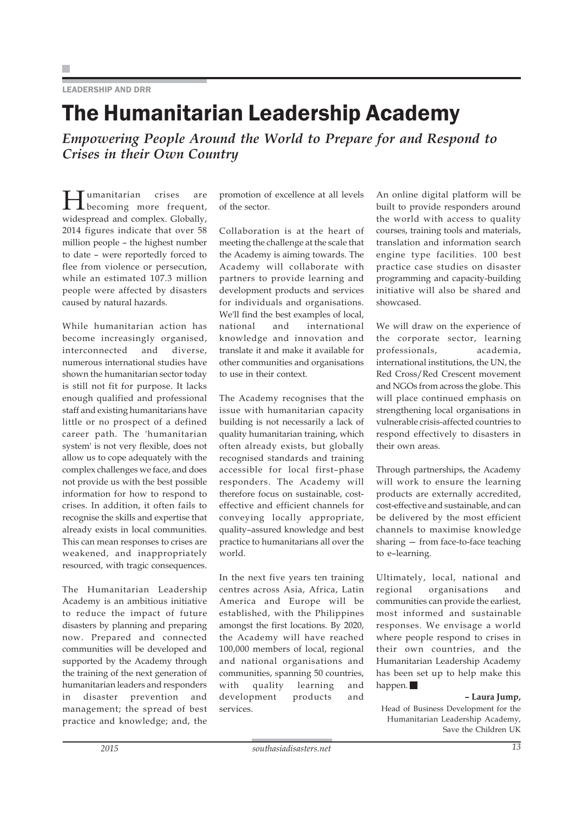#### LEADERSHIP AND DRR

### The Humanitarian Leadership Academy

*Empowering People Around the World to Prepare for and Respond to Crises in their Own Country*

Humanitarian crises are becoming more frequent, widespread and complex. Globally, 2014 figures indicate that over 58 million people – the highest number to date – were reportedly forced to flee from violence or persecution, while an estimated 107.3 million people were affected by disasters caused by natural hazards.

While humanitarian action has become increasingly organised, interconnected and diverse, numerous international studies have shown the humanitarian sector today is still not fit for purpose. It lacks enough qualified and professional staff and existing humanitarians have little or no prospect of a defined career path. The 'humanitarian system' is not very flexible, does not allow us to cope adequately with the complex challenges we face, and does not provide us with the best possible information for how to respond to crises. In addition, it often fails to recognise the skills and expertise that already exists in local communities. This can mean responses to crises are weakened, and inappropriately resourced, with tragic consequences.

The Humanitarian Leadership Academy is an ambitious initiative to reduce the impact of future disasters by planning and preparing now. Prepared and connected communities will be developed and supported by the Academy through the training of the next generation of humanitarian leaders and responders in disaster prevention and management; the spread of best practice and knowledge; and, the promotion of excellence at all levels of the sector.

Collaboration is at the heart of meeting the challenge at the scale that the Academy is aiming towards. The Academy will collaborate with partners to provide learning and development products and services for individuals and organisations. We'll find the best examples of local, national and international knowledge and innovation and translate it and make it available for other communities and organisations to use in their context.

The Academy recognises that the issue with humanitarian capacity building is not necessarily a lack of quality humanitarian training, which often already exists, but globally recognised standards and training accessible for local first–phase responders. The Academy will therefore focus on sustainable, costeffective and efficient channels for conveying locally appropriate, quality–assured knowledge and best practice to humanitarians all over the world.

In the next five years ten training centres across Asia, Africa, Latin America and Europe will be established, with the Philippines amongst the first locations. By 2020, the Academy will have reached 100,000 members of local, regional and national organisations and communities, spanning 50 countries, with quality learning and development products and services.

An online digital platform will be built to provide responders around the world with access to quality courses, training tools and materials, translation and information search engine type facilities. 100 best practice case studies on disaster programming and capacity-building initiative will also be shared and showcased.

We will draw on the experience of the corporate sector, learning professionals, academia, international institutions, the UN, the Red Cross/Red Crescent movement and NGOs from across the globe. This will place continued emphasis on strengthening local organisations in vulnerable crisis-affected countries to respond effectively to disasters in their own areas.

Through partnerships, the Academy will work to ensure the learning products are externally accredited, cost-effective and sustainable, and can be delivered by the most efficient channels to maximise knowledge sharing — from face-to-face teaching to e–learning.

Ultimately, local, national and regional organisations and communities can provide the earliest, most informed and sustainable responses. We envisage a world where people respond to crises in their own countries, and the Humanitarian Leadership Academy has been set up to help make this happen.

#### **– Laura Jump,**

Head of Business Development for the Humanitarian Leadership Academy, Save the Children UK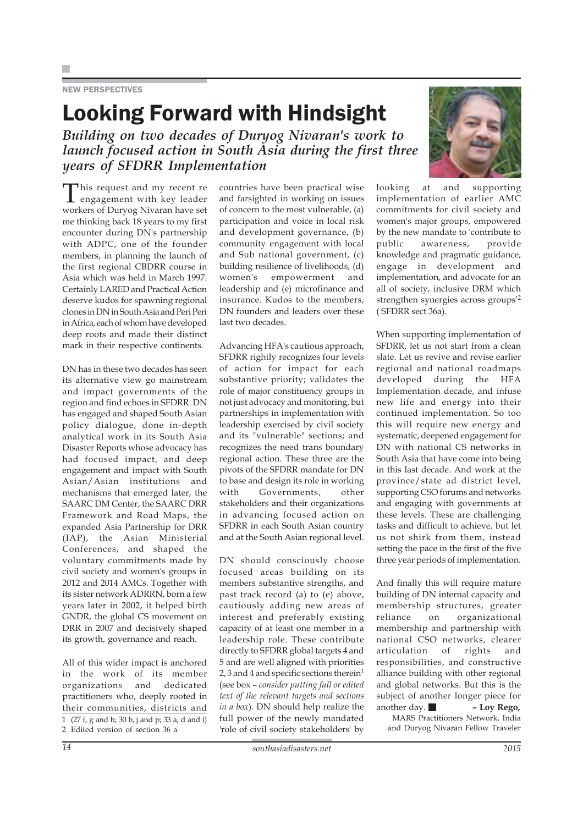#### NEW PERSPECTIVES

### Looking Forward with Hindsight

*Building on two decades of Duryog Nivaran's work to launch focused action in South Asia during the first three years of SFDRR Implementation*

This request and my recent re<br>
engagement with key leader workers of Duryog Nivaran have set me thinking back 18 years to my first encounter during DN's partnership with ADPC, one of the founder members, in planning the launch of the first regional CBDRR course in Asia which was held in March 1997. Certainly LARED and Practical Action deserve kudos for spawning regional clones in DN in South Asia and Peri Peri in Africa, each of whom have developed deep roots and made their distinct mark in their respective continents.

DN has in these two decades has seen its alternative view go mainstream and impact governments of the region and find echoes in SFDRR. DN has engaged and shaped South Asian policy dialogue, done in-depth analytical work in its South Asia Disaster Reports whose advocacy has had focused impact, and deep engagement and impact with South Asian/Asian institutions and mechanisms that emerged later, the SAARC DM Center, the SAARC DRR Framework and Road Maps, the expanded Asia Partnership for DRR (IAP), the Asian Ministerial Conferences, and shaped the voluntary commitments made by civil society and women's groups in 2012 and 2014 AMCs. Together with its sister network ADRRN, born a few years later in 2002, it helped birth GNDR, the global CS movement on DRR in 2007 and decisively shaped its growth, governance and reach.

All of this wider impact is anchored in the work of its member organizations and dedicated practitioners who, deeply rooted in their communities, districts and 1 (27 f, g and h; 30 b, j and p; 33 a, d and i) 2 Edited version of section 36 a

countries have been practical wise and farsighted in working on issues of concern to the most vulnerable, (a) participation and voice in local risk and development governance, (b) community engagement with local and Sub national government, (c) building resilience of livelihoods, (d) women's empowerment and leadership and (e) microfinance and insurance. Kudos to the members, DN founders and leaders over these last two decades.

Advancing HFA's cautious approach, SFDRR rightly recognizes four levels of action for impact for each substantive priority; validates the role of major constituency groups in not just advocacy and monitoring, but partnerships in implementation with leadership exercised by civil society and its "vulnerable" sections; and recognizes the need trans boundary regional action. These three are the pivots of the SFDRR mandate for DN to base and design its role in working with Governments, other stakeholders and their organizations in advancing focused action on SFDRR in each South Asian country and at the South Asian regional level.

DN should consciously choose focused areas building on its members substantive strengths, and past track record (a) to (e) above, cautiously adding new areas of interest and preferably existing capacity of at least one member in a leadership role. These contribute directly to SFDRR global targets 4 and 5 and are well aligned with priorities 2, 3 and 4 and specific sections therein $1$ (see box – *consider putting full or edited text of the relevant targets and sections in a box*). DN should help realize the full power of the newly mandated 'role of civil society stakeholders' by



looking at and supporting implementation of earlier AMC commitments for civil society and women's major groups, empowered by the new mandate to 'contribute to public awareness, provide knowledge and pragmatic guidance, engage in development and implementation, and advocate for an all of society, inclusive DRM which strengthen synergies across groups'2 ( SFDRR sect 36a).

When supporting implementation of SFDRR, let us not start from a clean slate. Let us revive and revise earlier regional and national roadmaps developed during the HFA Implementation decade, and infuse new life and energy into their continued implementation. So too this will require new energy and systematic, deepened engagement for DN with national CS networks in South Asia that have come into being in this last decade. And work at the province/state ad district level, supporting CSO forums and networks and engaging with governments at these levels. These are challenging tasks and difficult to achieve, but let us not shirk from them, instead setting the pace in the first of the five three year periods of implementation.

And finally this will require mature building of DN internal capacity and membership structures, greater reliance on organizational membership and partnership with national CSO networks, clearer articulation of rights and responsibilities, and constructive alliance building with other regional and global networks. But this is the subject of another longer piece for another day. **– Loy Rego,**

MARS Practitioners Network, India and Duryog Nivaran Fellow Traveler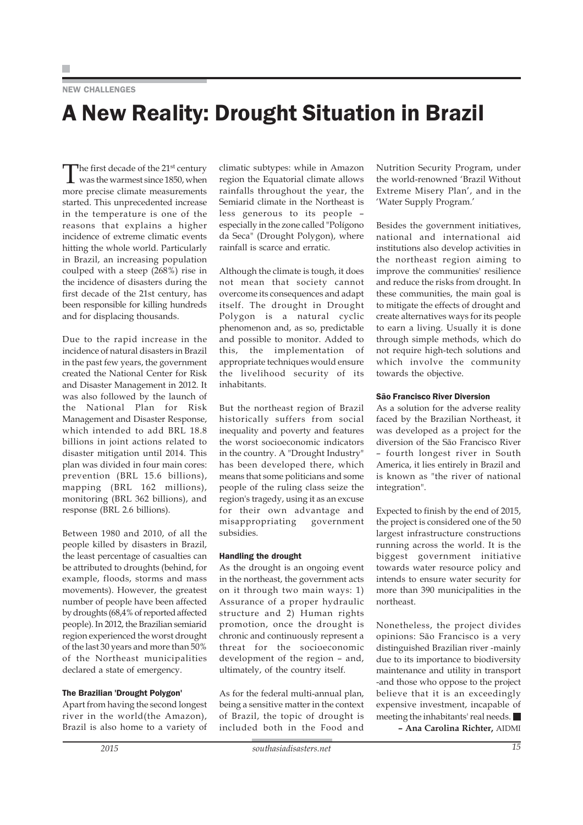#### **NEW CHALLENGES**

## A New Reality: Drought Situation in Brazil

The first decade of the 21<sup>st</sup> century<br>was the warmest since 1850, when more precise climate measurements started. This unprecedented increase in the temperature is one of the reasons that explains a higher incidence of extreme climatic events hitting the whole world. Particularly in Brazil, an increasing population coulped with a steep (268%) rise in the incidence of disasters during the first decade of the 21st century, has been responsible for killing hundreds and for displacing thousands.

Due to the rapid increase in the incidence of natural disasters in Brazil in the past few years, the government created the National Center for Risk and Disaster Management in 2012. It was also followed by the launch of the National Plan for Risk Management and Disaster Response, which intended to add BRL 18.8 billions in joint actions related to disaster mitigation until 2014. This plan was divided in four main cores: prevention (BRL 15.6 billions), mapping (BRL 162 millions), monitoring (BRL 362 billions), and response (BRL 2.6 billions).

Between 1980 and 2010, of all the people killed by disasters in Brazil, the least percentage of casualties can be attributed to droughts (behind, for example, floods, storms and mass movements). However, the greatest number of people have been affected by droughts (68,4% of reported affected people). In 2012, the Brazilian semiarid region experienced the worst drought of the last 30 years and more than 50% of the Northeast municipalities declared a state of emergency.

#### The Brazilian 'Drought Polygon'

Apart from having the second longest river in the world(the Amazon), Brazil is also home to a variety of

climatic subtypes: while in Amazon region the Equatorial climate allows rainfalls throughout the year, the Semiarid climate in the Northeast is less generous to its people – especially in the zone called "Polígono da Seca" (Drought Polygon), where rainfall is scarce and erratic.

Although the climate is tough, it does not mean that society cannot overcome its consequences and adapt itself. The drought in Drought Polygon is a natural cyclic phenomenon and, as so, predictable and possible to monitor. Added to this, the implementation of appropriate techniques would ensure the livelihood security of its inhabitants.

But the northeast region of Brazil historically suffers from social inequality and poverty and features the worst socioeconomic indicators in the country. A "Drought Industry" has been developed there, which means that some politicians and some people of the ruling class seize the region's tragedy, using it as an excuse for their own advantage and misappropriating government subsidies.

#### Handling the drought

As the drought is an ongoing event in the northeast, the government acts on it through two main ways: 1) Assurance of a proper hydraulic structure and 2) Human rights promotion, once the drought is chronic and continuously represent a threat for the socioeconomic development of the region – and, ultimately, of the country itself.

As for the federal multi-annual plan, being a sensitive matter in the context of Brazil, the topic of drought is included both in the Food and

Nutrition Security Program, under the world-renowned 'Brazil Without Extreme Misery Plan', and in the 'Water Supply Program.'

Besides the government initiatives, national and international aid institutions also develop activities in the northeast region aiming to improve the communities' resilience and reduce the risks from drought. In these communities, the main goal is to mitigate the effects of drought and create alternatives ways for its people to earn a living. Usually it is done through simple methods, which do not require high-tech solutions and which involve the community towards the objective.

#### São Francisco River Diversion

As a solution for the adverse reality faced by the Brazilian Northeast, it was developed as a project for the diversion of the São Francisco River – fourth longest river in South America, it lies entirely in Brazil and is known as "the river of national integration".

Expected to finish by the end of 2015, the project is considered one of the 50 largest infrastructure constructions running across the world. It is the biggest government initiative towards water resource policy and intends to ensure water security for more than 390 municipalities in the northeast.

Nonetheless, the project divides opinions: São Francisco is a very distinguished Brazilian river -mainly due to its importance to biodiversity maintenance and utility in transport -and those who oppose to the project believe that it is an exceedingly expensive investment, incapable of meeting the inhabitants' real needs. **– Ana Carolina Richter,** AIDMI